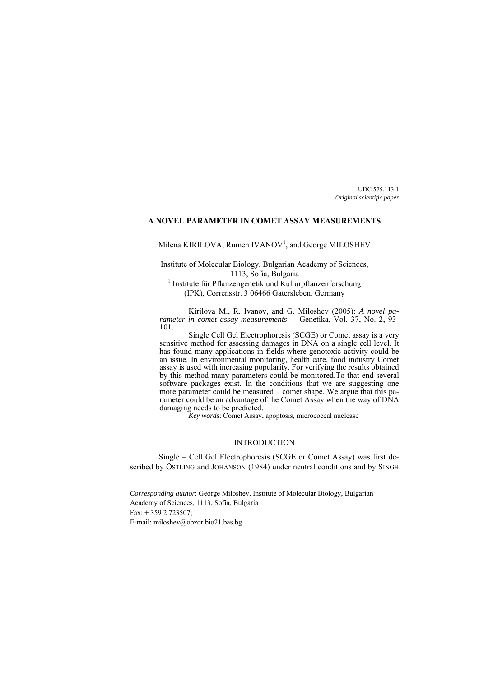UDC 575.113.1 *Original scientific paper* 

### **A NOVEL PARAMETER IN COMET ASSAY MEASUREMENTS**

Milena KIRILOVA, Rumen IVANOV<sup>1</sup>, and George MILOSHEV

Institute of Molecular Biology, Bulgarian Academy of Sciences, 1113, Sofia, Bulgaria<br><sup>1</sup> Institute für Pflanzengenetik und Kulturpflanzenforschung

(IPK), Corrensstr. 3 06466 Gatersleben, Germany

Kirilova M., R. Ivanov, and G. Miloshev (2005): *A novel parameter in comet assay measurements*. – Genetika, Vol. 37, No. 2, 93- 101.

Single Cell Gel Electrophoresis (SCGE) or Comet assay is a very sensitive method for assessing damages in DNA on a single cell level. It has found many applications in fields where genotoxic activity could be an issue. In environmental monitoring, health care, food industry Comet assay is used with increasing popularity. For verifying the results obtained by this method many parameters could be monitored.To that end several software packages exist. In the conditions that we are suggesting one more parameter could be measured – comet shape. We argue that this parameter could be an advantage of the Comet Assay when the way of DNA damaging needs to be predicted.

*Key words*: Comet Assay, apoptosis, micrococcal nuclease

## INTRODUCTION

Single – Cell Gel Electrophoresis (SCGE or Comet Assay) was first described by ÖSTLING and JOHANSON (1984) under neutral conditions and by SINGH

Fax: + 359 2 723507;

E-mail: miloshev@obzor.bio21.bas.bg

\_\_\_\_\_\_\_\_\_\_\_\_\_\_\_\_\_\_\_\_\_\_\_\_\_\_\_\_\_\_\_

*Corresponding author*: George Miloshev, Institute of Molecular Biology, Bulgarian Academy of Sciences, 1113, Sofia, Bulgaria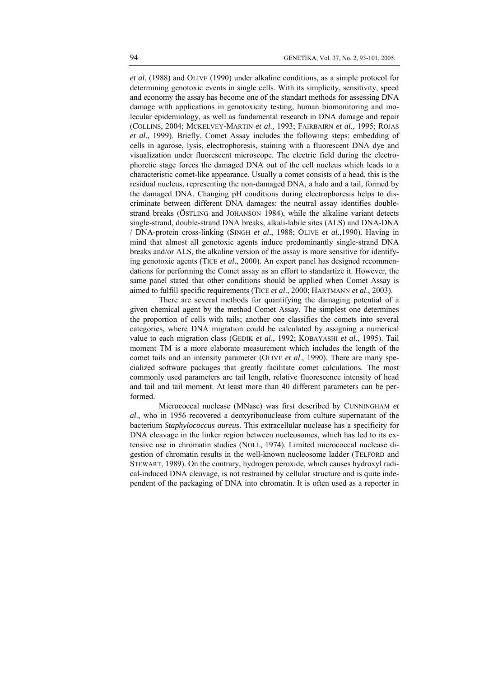*et al*. (1988) and OLIVE (1990) under alkaline conditions, as a simple protocol for determining genotoxic events in single cells. With its simplicity, sensitivity, speed and economy the assay has become one of the standart methods for assessing DNA damage with applications in genotoxicity testing, human biomonitoring and molecular epidemiology, as well as fundamental research in DNA damage and repair (COLLINS, 2004; MCKELVEY-MARTIN *et al.,* 1993; FAIRBAIRN *et al.,* 1995; ROJAS *et al*., 1999). Briefly, Comet Assay includes the following steps: embedding of cells in agarose, lysis, electrophoresis, staining with a fluorescent DNA dye and visualization under fluorescent microscope. The electric field during the electrophoretic stage forces the damaged DNA out of the cell nucleus which leads to a characteristic comet-like appearance. Usually a comet consists of a head, this is the residual nucleus, representing the non-damaged DNA, a halo and a tail, formed by the damaged DNA. Changing pH conditions during electrophoresis helps to discriminate between different DNA damages: the neutral assay identifies doublestrand breaks (ÖSTLING and JOHANSON 1984), while the alkaline variant detects single-strand, double-strand DNA breaks, alkali-labile sites (ALS) and DNA-DNA / DNA-protein cross-linking (SINGH *et al*., 1988; OLIVE *et al*.,1990). Having in mind that almost all genotoxic agents induce predominantly single-strand DNA breaks and/or ALS, the alkaline version of the assay is more sensitive for identifying genotoxic agents (TICE *et al*., 2000). An expert panel has designed recommendations for performing the Comet assay as an effort to standartize it. However, the same panel stated that other conditions should be applied when Comet Assay is aimed to fulfill specific requirements (TICE *et al*., 2000; HARTMANN *et al*., 2003).

There are several methods for quantifying the damaging potential of a given chemical agent by the method Comet Assay. The simplest one determines the proportion of cells with tails; another one classifies the comets into several categories, where DNA migration could be calculated by assigning a numerical value to each migration class (GEDIK *et al*., 1992; KOBAYASHI *et al*., 1995). Tail moment TM is a more elaborate measurement which includes the length of the comet tails and an intensity parameter (OLIVE *et al*., 1990). There are many specialized software packages that greatly facilitate comet calculations. The most commonly used parameters are tail length, relative fluorescence intensity of head and tail and tail moment. At least more than 40 different parameters can be performed.

Micrococcal nuclease (MNase) was first described by CUNNINGHAM *et al*., who in 1956 recovered a deoxyribonuclease from culture supernatant of the bacterium *Staphylococcus aureus*. This extracellular nuclease has a specificity for DNA cleavage in the linker region between nucleosomes, which has led to its extensive use in chromatin studies (NOLL, 1974). Limited micrococcal nuclease digestion of chromatin results in the well-known nucleosome ladder (TELFORD and STEWART, 1989). On the contrary, hydrogen peroxide, which causes hydroxyl radical-induced DNA cleavage, is not restrained by cellular structure and is quite independent of the packaging of DNA into chromatin. It is often used as a reporter in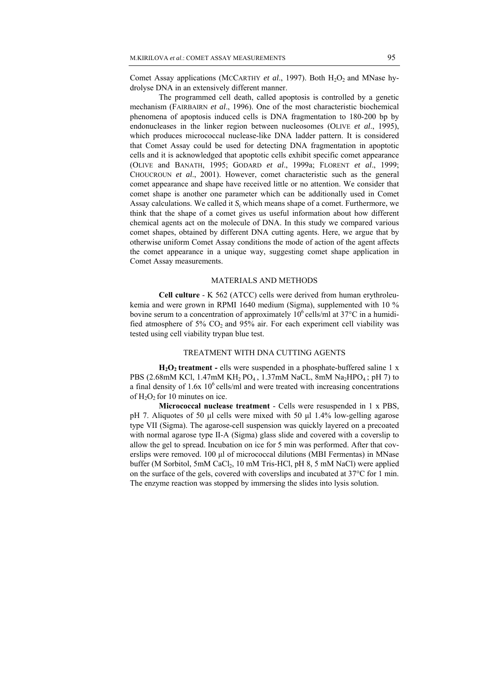Comet Assay applications (MCCARTHY *et al.*, 1997). Both H<sub>2</sub>O<sub>2</sub> and MNase hydrolyse DNA in an extensively different manner.

The programmed cell death, called apoptosis is controlled by a genetic mechanism (FAIRBAIRN *et al*., 1996). One of the most characteristic biochemical phenomena of apoptosis induced cells is DNA fragmentation to 180-200 bp by endonucleases in the linker region between nucleosomes (OLIVE *et al*., 1995), which produces micrococcal nuclease-like DNA ladder pattern. It is considered that Comet Assay could be used for detecting DNA fragmentation in apoptotic cells and it is acknowledged that apoptotic cells exhibit specific comet appearance (OLIVE and BANATH, 1995; GODARD *et al*., 1999a; FLORENT *et al*., 1999; CHOUCROUN *et al*., 2001). However, comet characteristic such as the general comet appearance and shape have received little or no attention. We consider that comet shape is another one parameter which can be additionally used in Comet Assay calculations. We called it  $S_c$  which means shape of a comet. Furthermore, we think that the shape of a comet gives us useful information about how different chemical agents act on the molecule of DNA. In this study we compared various comet shapes, obtained by different DNA cutting agents. Here, we argue that by otherwise uniform Comet Assay conditions the mode of action of the agent affects the comet appearance in a unique way, suggesting comet shape application in Comet Assay measurements.

## MATERIALS AND METHODS

**Cell culture** - K 562 (ATCC) cells were derived from human erythroleukemia and were grown in RPMI 1640 medium (Sigma), supplemented with 10 % bovine serum to a concentration of approximately  $10^6$  cells/ml at  $37^{\circ}$ C in a humidified atmosphere of 5%  $CO<sub>2</sub>$  and 95% air. For each experiment cell viability was tested using cell viability trypan blue test.

### TREATMENT WITH DNA CUTTING AGENTS

**H<sub>2</sub>O<sub>2</sub>** treatment - ells were suspended in a phosphate-buffered saline 1 x PBS (2.68mM KCl, 1.47mM KH<sub>2</sub> PO<sub>4</sub>, 1.37mM NaCL, 8mM Na<sub>2</sub>HPO<sub>4</sub>; pH 7) to a final density of  $1.6x\ 10^6$  cells/ml and were treated with increasing concentrations of  $H_2O_2$  for 10 minutes on ice.

**Micrococcal nuclease treatment** - Cells were resuspended in 1 x PBS, pH 7. Aliquotes of 50 μl cells were mixed with 50 μl 1.4% low-gelling agarose type VII (Sigma). The agarose-cell suspension was quickly layered on a precoated with normal agarose type II-A (Sigma) glass slide and covered with a coverslip to allow the gel to spread. Incubation on ice for 5 min was performed. After that coverslips were removed. 100 μl of micrococcal dilutions (MBI Fermentas) in MNase buffer (M Sorbitol, 5mM CaCl<sub>2</sub>, 10 mM Tris-HCl, pH 8, 5 mM NaCl) were applied on the surface of the gels, covered with coverslips and incubated at 37°C for 1 min. The enzyme reaction was stopped by immersing the slides into lysis solution.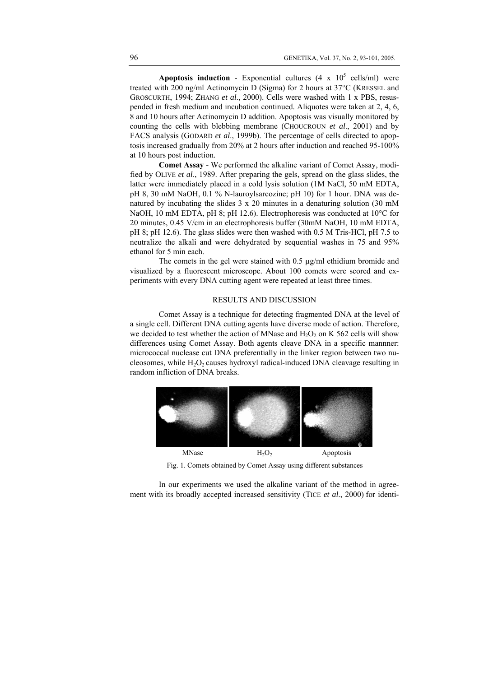**Apoptosis induction** - Exponential cultures  $(4 \times 10^5 \text{ cells/ml})$  were treated with 200 ng/ml Actinomycin D (Sigma) for 2 hours at 37°C (KRESSEL and GROSCURTH, 1994; ZHANG *et al*., 2000). Cells were washed with 1 x PBS, resuspended in fresh medium and incubation continued. Aliquotes were taken at 2, 4, 6, 8 and 10 hours after Actinomycin D addition. Apoptosis was visually monitored by counting the cells with blebbing membrane (CHOUCROUN *et al*., 2001) and by FACS analysis (GODARD *et al*., 1999b). The percentage of cells directed to apoptosis increased gradually from 20% at 2 hours after induction and reached 95-100% at 10 hours post induction.

**Comet Assay** - We performed the alkaline variant of Comet Assay, modified by OLIVE *et al*., 1989. After preparing the gels, spread on the glass slides, the latter were immediately placed in a cold lysis solution (1M NaCl, 50 mM EDTA, pH 8, 30 mM NaOH, 0.1 % N-lauroylsarcozine; pH 10) for 1 hour. DNA was denatured by incubating the slides 3 x 20 minutes in a denaturing solution (30 mM NaOH, 10 mM EDTA, pH 8; pH 12.6). Electrophoresis was conducted at 10<sup>o</sup>C for 20 minutes, 0.45 V/cm in an electrophoresis buffer (30mM NaOH, 10 mM EDTA, pH 8; pH 12.6). The glass slides were then washed with 0.5 M Tris-HCl, pH 7.5 to neutralize the alkali and were dehydrated by sequential washes in 75 and 95% ethanol for 5 min each.

The comets in the gel were stained with 0.5 µg/ml ethidium bromide and visualized by a fluorescent microscope. About 100 comets were scored and experiments with every DNA cutting agent were repeated at least three times.

### RESULTS AND DISCUSSION

Comet Assay is a technique for detecting fragmented DNA at the level of a single cell. Different DNA cutting agents have diverse mode of action. Therefore, we decided to test whether the action of MNase and  $H_2O_2$  on K 562 cells will show differences using Comet Assay. Both agents cleave DNA in a specific mannner: micrococcal nuclease cut DNA preferentially in the linker region between two nucleosomes, while  $H_2O_2$  causes hydroxyl radical-induced DNA cleavage resulting in random infliction of DNA breaks.



Fig. 1. Comets obtained by Comet Assay using different substances

In our experiments we used the alkaline variant of the method in agreement with its broadly accepted increased sensitivity (TICE *et al*., 2000) for identi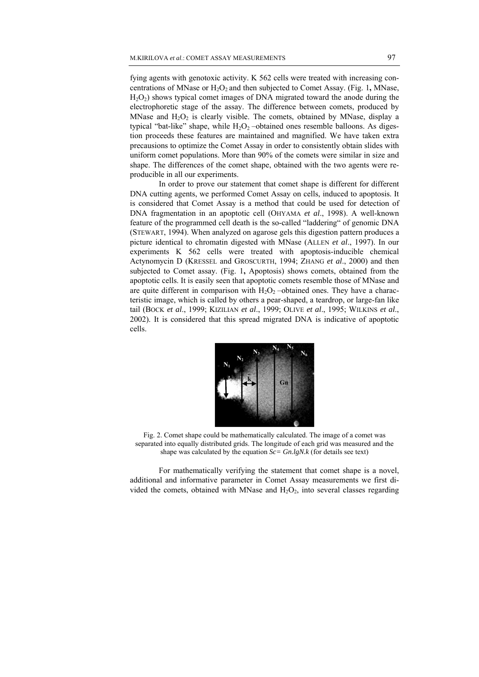fying agents with genotoxic activity. K 562 cells were treated with increasing concentrations of MNase or H<sub>2</sub>O<sub>2</sub> and then subjected to Comet Assay. (Fig. 1, MNase,  $H<sub>2</sub>O<sub>2</sub>$ ) shows typical comet images of DNA migrated toward the anode during the electrophoretic stage of the assay. The difference between comets, produced by MNase and  $H_2O_2$  is clearly visible. The comets, obtained by MNase, display a typical "bat-like" shape, while  $H_2O_2$  –obtained ones resemble balloons. As digestion proceeds these features are maintained and magnified. We have taken extra precausions to optimize the Comet Assay in order to consistently obtain slides with uniform comet populations. More than 90% of the comets were similar in size and shape. The differences of the comet shape, obtained with the two agents were reproducible in all our experiments.

In order to prove our statement that comet shape is different for different DNA cutting agents, we performed Comet Assay on cells, induced to apoptosis. It is considered that Comet Assay is a method that could be used for detection of DNA fragmentation in an apoptotic cell (OHYAMA *et al*., 1998). A well-known feature of the programmed cell death is the so-called "laddering" of genomic DNA (STEWART, 1994). When analyzed on agarose gels this digestion pattern produces a picture identical to chromatin digested with MNase (ALLEN *et al*., 1997). In our experiments K 562 cells were treated with apoptosis-inducible chemical Actynomycin D (KRESSEL and GROSCURTH, 1994; ZHANG *et al*., 2000) and then subjected to Comet assay. (Fig. 1**,** Apoptosis) shows comets, obtained from the apoptotic cells. It is easily seen that apoptotic comets resemble those of MNase and are quite different in comparison with  $H_2O_2$  –obtained ones. They have a characteristic image, which is called by others a pear-shaped, a teardrop, or large-fan like tail (BOCK *et al*., 1999; KIZILIAN *et al*., 1999; OLIVE *et al*., 1995; WILKINS *et al*., 2002). It is considered that this spread migrated DNA is indicative of apoptotic cells.



Fig. 2. Comet shape could be mathematically calculated. The image of a comet was separated into equally distributed grids. The longitude of each grid was measured and the shape was calculated by the equation *Sc= Gn.lgN.k* (for details see text)

For mathematically verifying the statement that comet shape is a novel, additional and informative parameter in Comet Assay measurements we first divided the comets, obtained with MNase and  $H_2O_2$ , into several classes regarding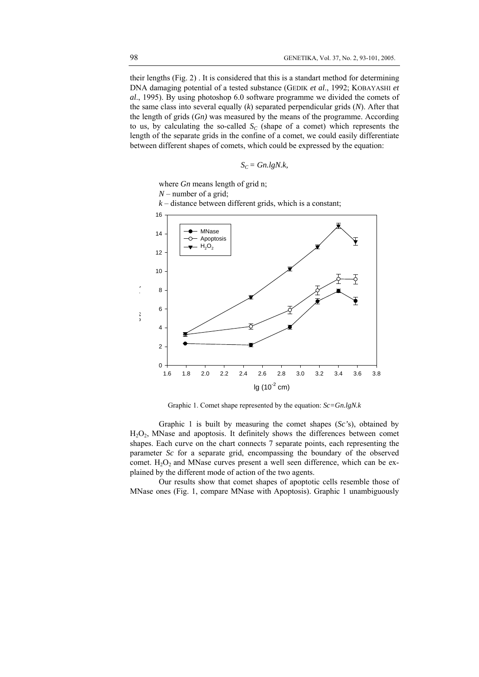their lengths (Fig. 2) . It is considered that this is a standart method for determining DNA damaging potential of a tested substance (GEDIK *et al*., 1992; KOBAYASHI *et al*., 1995). By using photoshop 6.0 software programme we divided the comets of the same class into several equally (*k*) separated perpendicular grids (*N*). After that the length of grids (*Gn)* was measured by the means of the programme. According to us, by calculating the so-called  $S_C$  (shape of a comet) which represents the length of the separate grids in the confine of a comet, we could easily differentiate between different shapes of comets, which could be expressed by the equation:

$$
S_C = Gn.lgN.k,
$$

where *Gn* means length of grid n; *N* – number of a grid;

 $k$  – distance between different grids, which is a constant;



Graphic 1. Comet shape represented by the equation: *Sc=Gn.lgN.k*

Graphic 1 is built by measuring the comet shapes (*Sc'*s), obtained by  $H<sub>2</sub>O<sub>2</sub>$ , MNase and apoptosis. It definitely shows the differences between comet shapes. Each curve on the chart connects 7 separate points, each representing the parameter *Sc* for a separate grid, encompassing the boundary of the observed comet.  $H_2O_2$  and MNase curves present a well seen difference, which can be explained by the different mode of action of the two agents.

Our results show that comet shapes of apoptotic cells resemble those of MNase ones (Fig. 1, compare MNase with Apoptosis). Graphic 1 unambiguously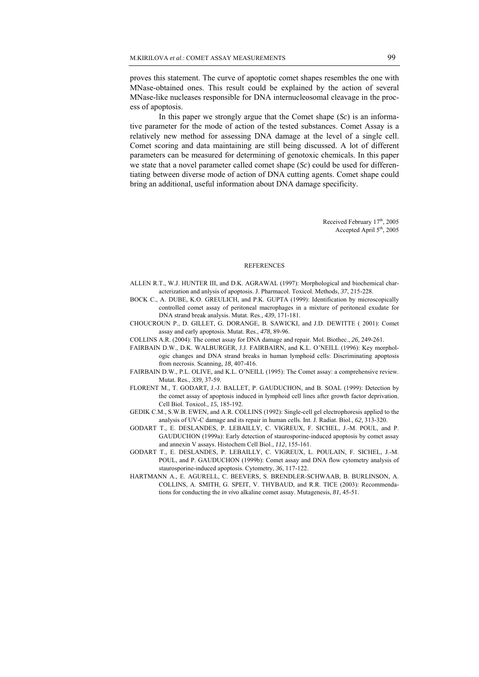proves this statement. The curve of apoptotic comet shapes resembles the one with MNase-obtained ones. This result could be explained by the action of several MNase-like nucleases responsible for DNA internucleosomal cleavage in the process of apoptosis.

In this paper we strongly argue that the Comet shape (*Sc*) is an informative parameter for the mode of action of the tested substances. Comet Assay is a relatively new method for assessing DNA damage at the level of a single cell. Comet scoring and data maintaining are still being discussed. A lot of different parameters can be measured for determining of genotoxic chemicals. In this paper we state that a novel parameter called comet shape (*Sc*) could be used for differentiating between diverse mode of action of DNA cutting agents. Comet shape could bring an additional, useful information about DNA damage specificity.

> Received February 17th, 2005 Accepted April 5<sup>th</sup>, 2005

#### **REFERENCES**

- ALLEN R.T., W.J. HUNTER III, and D.K. AGRAWAL (1997): Morphological and biochemical characterization and anlysis of apoptosis. J. Pharmacol. Toxicol. Methods, *37*, 215-228.
- BOCK C., A. DUBE, K.O. GREULICH, and P.K. GUPTA (1999): Identification by microscopically controlled comet assay of peritoneal macrophages in a mixture of peritoneal exudate for DNA strand break analysis. Mutat. Res., *439*, 171-181.
- CHOUCROUN P., D. GILLET, G. DORANGE, B. SAWICKI, and J.D. DEWITTE ( 2001): Comet assay and early apoptosis. Mutat. Res., *478*, 89-96.
- COLLINS A.R. (2004): The comet assay for DNA damage and repair. Mol. Biothec., *26,* 249-261.
- FAIRBAIN D.W., D.K. WALBURGER, J.J. FAIRBAIRN, and K.L. O'NEILL (1996): Key morphologic changes and DNA strand breaks in human lymphoid cells: Discriminating apoptosis from necrosis. Scanning, *18*, 407-416.
- FAIRBAIN D.W., P.L. OLIVE, and K.L. O'NEILL (1995): The Comet assay: a comprehensive review. Mutat. Res., *339,* 37-59.
- FLORENT M., T. GODART, J.-J. BALLET, P. GAUDUCHON, and B. SOAL (1999): Detection by the comet assay of apoptosis induced in lymphoid cell lines after growth factor deprivation. Cell Biol. Toxicol., *15*, 185-192.
- GEDIK C.M., S.W.B. EWEN, and A.R. COLLINS (1992): Single-cell gel electrophoresis applied to the analysis of UV-C damage and its repair in human cells. Int. J. Radiat. Biol., *62,* 313-320.
- GODART T., E. DESLANDES, P. LEBAILLY, C. VIGREUX, F. SICHEL, J.-M. POUL, and P. GAUDUCHON (1999a): Early detection of staurosporine-induced apoptosis by comet assay and annexin V assays. Histochem Cell Biol., *112*, 155-161.
- GODART T., E. DESLANDES, P. LEBAILLY, C. VIGREUX, L. POULAIN, F. SICHEL, J.-M. POUL, and P. GAUDUCHON (1999b): Comet assay and DNA flow cytometry analysis of staurosporine-induced apoptosis. Cytometry, *36*, 117-122.
- HARTMANN A., E. AGURELL, C. BEEVERS, S. BRENDLER-SCHWAAB, B. BURLINSON, A. COLLINS, A. SMITH, G. SPEIT, V. THYBAUD, and R.R. TICE (2003): Recommendations for conducting the *in vivo* alkaline comet assay. Mutagenesis, *81*, 45-51.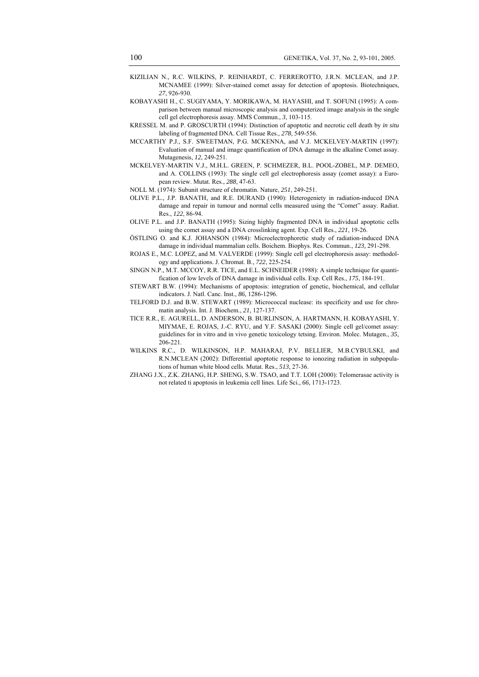- KIZILIAN N., R.C. WILKINS, P. REINHARDT, C. FERREROTTO, J.R.N. MCLEAN, and J.P. MCNAMEE (1999): Silver-stained comet assay for detection of apoptosis. Biotechniques, *27*, 926-930.
- KOBAYASHI H., C. SUGIYAMA, Y. MORIKAWA, M. HAYASHI, and T. SOFUNI (1995): A comparison between manual microscopic analysis and computerized image analysis in the single cell gel electrophoresis assay. MMS Commun., *3*, 103-115.
- KRESSEL M. and P. GROSCURTH (1994): Distinction of apoptotic and necrotic cell death by *in situ*  labeling of fragmented DNA. Cell Tissue Res., *278*, 549-556.
- MCCARTHY P.J., S.F. SWEETMAN, P.G. MCKENNA, and V.J. MCKELVEY-MARTIN (1997): Evaluation of manual and image quantification of DNA damage in the alkaline Comet assay. Mutagenesis, *12*, 249-251.
- MCKELVEY-MARTIN V.J., M.H.L. GREEN, P. SCHMEZER, B.L. POOL-ZOBEL, M.P. DEMEO, and A. COLLINS (1993): The single cell gel electrophoresis assay (comet assay): a European review. Mutat. Res., *288,* 47-63.
- NOLL M. (1974): Subunit structure of chromatin. Nature, *251*, 249-251.
- OLIVE P.L., J.P. BANATH, and R.E. DURAND (1990): Heterogeniety in radiation-induced DNA damage and repair in tumour and normal cells measured using the "Comet" assay. Radiat. Res., *122*, 86-94.
- OLIVE P.L. and J.P. BANATH (1995): Sizing highly fragmented DNA in individual apoptotic cells using the comet assay and a DNA crosslinking agent. Exp. Cell Res., *221*, 19-26.
- ÖSTLING O. and K.J. JOHANSON (1984): Microelectrophoretic study of radiation-induced DNA damage in individual mammalian cells. Boichem. Biophys. Res. Commun., *123,* 291-298.
- ROJAS E., M.C. LOPEZ, and M. VALVERDE (1999): Single cell gel electrophoresis assay: methodology and applications. J. Chromat. B., *722*, 225-254.
- SINGN N.P., M.T. MCCOY, R.R. TICE, and E.L. SCHNEIDER (1988): A simple technique for quantification of low levels of DNA damage in individual cells. Exp. Cell Res., *175*, 184-191.
- STEWART B.W. (1994): Mechanisms of apoptosis: integration of genetic, biochemical, and cellular indicators. J. Natl. Canc. Inst., *86*, 1286-1296.
- TELFORD D.J. and B.W. STEWART (1989): Micrococcal nuclease: its specificity and use for chromatin analysis. Int. J. Biochem., *21*, 127-137.
- TICE R.R., E. AGURELL, D. ANDERSON, B. BURLINSON, A. HARTMANN, H. KOBAYASHI, Y. MIYMAE, E. ROJAS, J.-C. RYU, and Y.F. SASAKI (2000): Single cell gel/comet assay: guidelines for in vitro and in vivo genetic toxicology tetsing. Environ. Molec. Mutagen., *35*, 206-221.
- WILKINS R.C., D. WILKINSON, H.P. MAHARAJ, P.V. BELLIER, M.B.CYBULSKI, and R.N.MCLEAN (2002): Differential apoptotic response to ionozing radiation in subpopulations of human white blood cells. Mutat. Res., *513*, 27-36.
- ZHANG J.X., Z.K. ZHANG, H.P. SHENG, S.W. TSAO, and T.T. LOH (2000): Telomerasae activity is not related ti apoptosis in leukemia cell lines. Life Sci., *66*, 1713-1723.